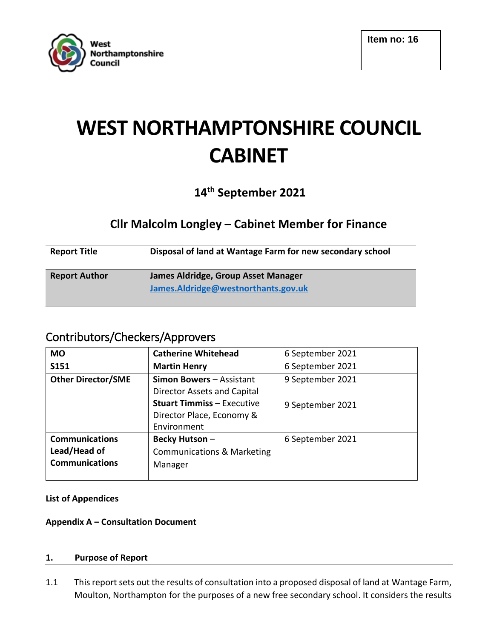

# **WEST NORTHAMPTONSHIRE COUNCIL CABINET**

# **14th September 2021**

# **Cllr Malcolm Longley – Cabinet Member for Finance**

| <b>Report Title</b>  | Disposal of land at Wantage Farm for new secondary school                  |
|----------------------|----------------------------------------------------------------------------|
| <b>Report Author</b> | James Aldridge, Group Asset Manager<br>James.Aldridge@westnorthants.gov.uk |

# Contributors/Checkers/Approvers

| <b>MO</b>                 | <b>Catherine Whitehead</b>            | 6 September 2021 |
|---------------------------|---------------------------------------|------------------|
| S151                      | <b>Martin Henry</b>                   | 6 September 2021 |
| <b>Other Director/SME</b> | Simon Bowers - Assistant              | 9 September 2021 |
|                           | Director Assets and Capital           |                  |
|                           | <b>Stuart Timmiss - Executive</b>     | 9 September 2021 |
|                           | Director Place, Economy &             |                  |
|                           | Environment                           |                  |
| <b>Communications</b>     | Becky Hutson-                         | 6 September 2021 |
| Lead/Head of              | <b>Communications &amp; Marketing</b> |                  |
| <b>Communications</b>     | Manager                               |                  |
|                           |                                       |                  |

# **List of Appendices**

# **Appendix A – Consultation Document**

#### **1. Purpose of Report**

1.1 This report sets out the results of consultation into a proposed disposal of land at Wantage Farm, Moulton, Northampton for the purposes of a new free secondary school. It considers the results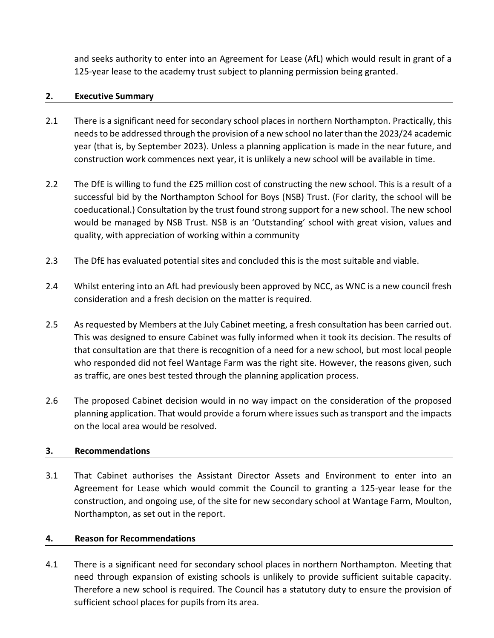and seeks authority to enter into an Agreement for Lease (AfL) which would result in grant of a 125-year lease to the academy trust subject to planning permission being granted.

#### **2. Executive Summary**

- 2.1 There is a significant need for secondary school places in northern Northampton. Practically, this needs to be addressed through the provision of a new school no later than the 2023/24 academic year (that is, by September 2023). Unless a planning application is made in the near future, and construction work commences next year, it is unlikely a new school will be available in time.
- 2.2 The DfE is willing to fund the £25 million cost of constructing the new school. This is a result of a successful bid by the Northampton School for Boys (NSB) Trust. (For clarity, the school will be coeducational.) Consultation by the trust found strong support for a new school. The new school would be managed by NSB Trust. NSB is an 'Outstanding' school with great vision, values and quality, with appreciation of working within a community
- 2.3 The DfE has evaluated potential sites and concluded this is the most suitable and viable.
- 2.4 Whilst entering into an AfL had previously been approved by NCC, as WNC is a new council fresh consideration and a fresh decision on the matter is required.
- 2.5 As requested by Members at the July Cabinet meeting, a fresh consultation has been carried out. This was designed to ensure Cabinet was fully informed when it took its decision. The results of that consultation are that there is recognition of a need for a new school, but most local people who responded did not feel Wantage Farm was the right site. However, the reasons given, such as traffic, are ones best tested through the planning application process.
- 2.6 The proposed Cabinet decision would in no way impact on the consideration of the proposed planning application. That would provide a forum where issues such as transport and the impacts on the local area would be resolved.

# **3. Recommendations**

3.1 That Cabinet authorises the Assistant Director Assets and Environment to enter into an Agreement for Lease which would commit the Council to granting a 125-year lease for the construction, and ongoing use, of the site for new secondary school at Wantage Farm, Moulton, Northampton, as set out in the report.

# **4. Reason for Recommendations**

4.1 There is a significant need for secondary school places in northern Northampton. Meeting that need through expansion of existing schools is unlikely to provide sufficient suitable capacity. Therefore a new school is required. The Council has a statutory duty to ensure the provision of sufficient school places for pupils from its area.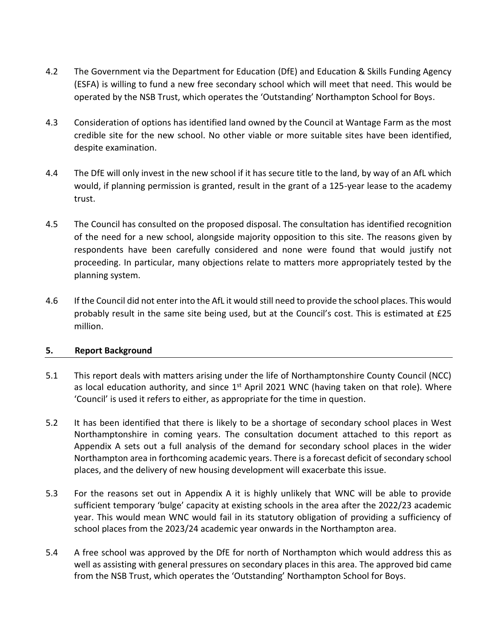- 4.2 The Government via the Department for Education (DfE) and Education & Skills Funding Agency (ESFA) is willing to fund a new free secondary school which will meet that need. This would be operated by the NSB Trust, which operates the 'Outstanding' Northampton School for Boys.
- 4.3 Consideration of options has identified land owned by the Council at Wantage Farm as the most credible site for the new school. No other viable or more suitable sites have been identified, despite examination.
- 4.4 The DfE will only invest in the new school if it has secure title to the land, by way of an AfL which would, if planning permission is granted, result in the grant of a 125-year lease to the academy trust.
- 4.5 The Council has consulted on the proposed disposal. The consultation has identified recognition of the need for a new school, alongside majority opposition to this site. The reasons given by respondents have been carefully considered and none were found that would justify not proceeding. In particular, many objections relate to matters more appropriately tested by the planning system.
- 4.6 If the Council did not enter into the AfL it would still need to provide the school places. This would probably result in the same site being used, but at the Council's cost. This is estimated at £25 million.

#### **5. Report Background**

- 5.1 This report deals with matters arising under the life of Northamptonshire County Council (NCC) as local education authority, and since  $1<sup>st</sup>$  April 2021 WNC (having taken on that role). Where 'Council' is used it refers to either, as appropriate for the time in question.
- 5.2 It has been identified that there is likely to be a shortage of secondary school places in West Northamptonshire in coming years. The consultation document attached to this report as Appendix A sets out a full analysis of the demand for secondary school places in the wider Northampton area in forthcoming academic years. There is a forecast deficit of secondary school places, and the delivery of new housing development will exacerbate this issue.
- 5.3 For the reasons set out in Appendix A it is highly unlikely that WNC will be able to provide sufficient temporary 'bulge' capacity at existing schools in the area after the 2022/23 academic year. This would mean WNC would fail in its statutory obligation of providing a sufficiency of school places from the 2023/24 academic year onwards in the Northampton area.
- 5.4 A free school was approved by the DfE for north of Northampton which would address this as well as assisting with general pressures on secondary places in this area. The approved bid came from the NSB Trust, which operates the 'Outstanding' Northampton School for Boys.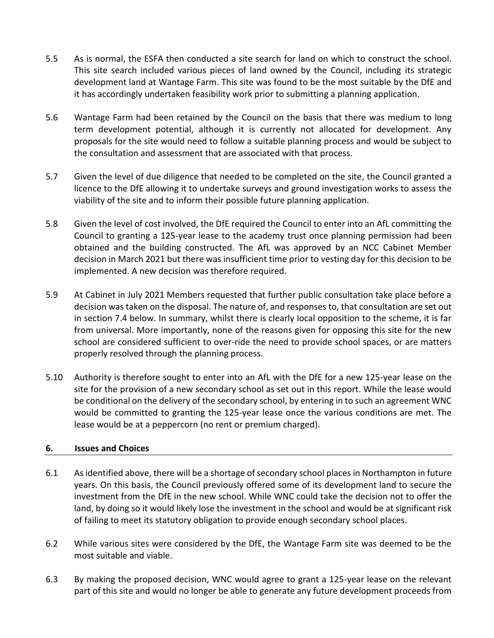- 5.5 As is normal, the ESFA then conducted a site search for land on which to construct the school. This site search included various pieces of land owned by the Council, including its strategic development land at Wantage Farm. This site was found to be the most suitable by the DfE and it has accordingly undertaken feasibility work prior to submitting a planning application.
- 5.6 Wantage Farm had been retained by the Council on the basis that there was medium to long term development potential, although it is currently not allocated for development. Any proposals for the site would need to follow a suitable planning process and would be subject to the consultation and assessment that are associated with that process.
- 5.7 Given the level of due diligence that needed to be completed on the site, the Council granted a licence to the DfE allowing it to undertake surveys and ground investigation works to assess the viability of the site and to inform their possible future planning application.
- 5.8 Given the level of cost involved, the DfE required the Council to enter into an AfL committing the Council to granting a 125-year lease to the academy trust once planning permission had been obtained and the building constructed. The AfL was approved by an NCC Cabinet Member decision in March 2021 but there was insufficient time prior to vesting day for this decision to be implemented. A new decision was therefore required.
- 5.9 At Cabinet in July 2021 Members requested that further public consultation take place before a decision was taken on the disposal. The nature of, and responses to, that consultation are set out in section 7.4 below. In summary, whilst there is clearly local opposition to the scheme, it is far from universal. More importantly, none of the reasons given for opposing this site for the new school are considered sufficient to over-ride the need to provide school spaces, or are matters properly resolved through the planning process.
- 5.10 Authority is therefore sought to enter into an AfL with the DfE for a new 125-year lease on the site for the provision of a new secondary school as set out in this report. While the lease would be conditional on the delivery of the secondary school, by entering in to such an agreement WNC would be committed to granting the 125-year lease once the various conditions are met. The lease would be at a peppercorn (no rent or premium charged).

# **6. Issues and Choices**

- 6.1 As identified above, there will be a shortage of secondary school places in Northampton in future years. On this basis, the Council previously offered some of its development land to secure the investment from the DfE in the new school. While WNC could take the decision not to offer the land, by doing so it would likely lose the investment in the school and would be at significant risk of failing to meet its statutory obligation to provide enough secondary school places.
- 6.2 While various sites were considered by the DfE, the Wantage Farm site was deemed to be the most suitable and viable.
- 6.3 By making the proposed decision, WNC would agree to grant a 125-year lease on the relevant part of this site and would no longer be able to generate any future development proceeds from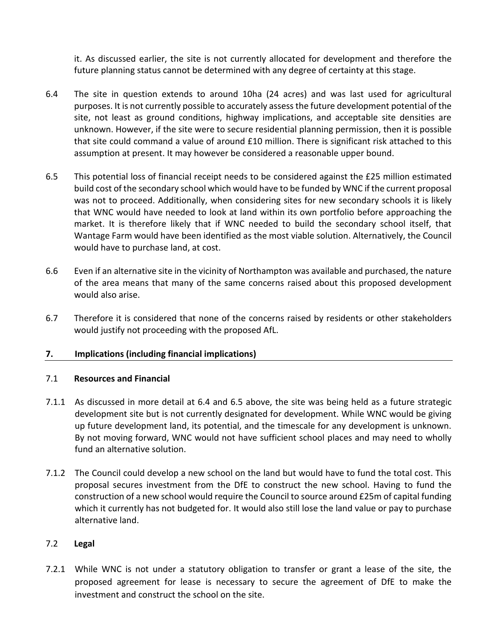it. As discussed earlier, the site is not currently allocated for development and therefore the future planning status cannot be determined with any degree of certainty at this stage.

- 6.4 The site in question extends to around 10ha (24 acres) and was last used for agricultural purposes. It is not currently possible to accurately assess the future development potential of the site, not least as ground conditions, highway implications, and acceptable site densities are unknown. However, if the site were to secure residential planning permission, then it is possible that site could command a value of around £10 million. There is significant risk attached to this assumption at present. It may however be considered a reasonable upper bound.
- 6.5 This potential loss of financial receipt needs to be considered against the £25 million estimated build cost of the secondary school which would have to be funded by WNC if the current proposal was not to proceed. Additionally, when considering sites for new secondary schools it is likely that WNC would have needed to look at land within its own portfolio before approaching the market. It is therefore likely that if WNC needed to build the secondary school itself, that Wantage Farm would have been identified as the most viable solution. Alternatively, the Council would have to purchase land, at cost.
- 6.6 Even if an alternative site in the vicinity of Northampton was available and purchased, the nature of the area means that many of the same concerns raised about this proposed development would also arise.
- 6.7 Therefore it is considered that none of the concerns raised by residents or other stakeholders would justify not proceeding with the proposed AfL.

# **7. Implications (including financial implications)**

#### 7.1 **Resources and Financial**

- 7.1.1 As discussed in more detail at 6.4 and 6.5 above, the site was being held as a future strategic development site but is not currently designated for development. While WNC would be giving up future development land, its potential, and the timescale for any development is unknown. By not moving forward, WNC would not have sufficient school places and may need to wholly fund an alternative solution.
- 7.1.2 The Council could develop a new school on the land but would have to fund the total cost. This proposal secures investment from the DfE to construct the new school. Having to fund the construction of a new school would require the Council to source around £25m of capital funding which it currently has not budgeted for. It would also still lose the land value or pay to purchase alternative land.

#### 7.2 **Legal**

7.2.1 While WNC is not under a statutory obligation to transfer or grant a lease of the site, the proposed agreement for lease is necessary to secure the agreement of DfE to make the investment and construct the school on the site.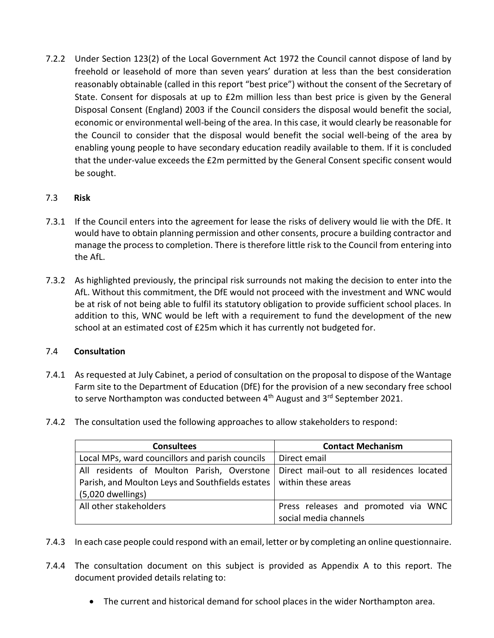7.2.2 Under Section 123(2) of the Local Government Act 1972 the Council cannot dispose of land by freehold or leasehold of more than seven years' duration at less than the best consideration reasonably obtainable (called in this report "best price") without the consent of the Secretary of State. Consent for disposals at up to £2m million less than best price is given by the General Disposal Consent (England) 2003 if the Council considers the disposal would benefit the social, economic or environmental well-being of the area. In this case, it would clearly be reasonable for the Council to consider that the disposal would benefit the social well-being of the area by enabling young people to have secondary education readily available to them. If it is concluded that the under-value exceeds the £2m permitted by the General Consent specific consent would be sought.

# 7.3 **Risk**

- 7.3.1 If the Council enters into the agreement for lease the risks of delivery would lie with the DfE. It would have to obtain planning permission and other consents, procure a building contractor and manage the process to completion. There is therefore little risk to the Council from entering into the AfL.
- 7.3.2 As highlighted previously, the principal risk surrounds not making the decision to enter into the AfL. Without this commitment, the DfE would not proceed with the investment and WNC would be at risk of not being able to fulfil its statutory obligation to provide sufficient school places. In addition to this, WNC would be left with a requirement to fund the development of the new school at an estimated cost of £25m which it has currently not budgeted for.

# 7.4 **Consultation**

- 7.4.1 As requested at July Cabinet, a period of consultation on the proposal to dispose of the Wantage Farm site to the Department of Education (DfE) for the provision of a new secondary free school to serve Northampton was conducted between 4<sup>th</sup> August and 3<sup>rd</sup> September 2021.
- 7.4.2 The consultation used the following approaches to allow stakeholders to respond:

| <b>Consultees</b>                                | <b>Contact Mechanism</b>                  |
|--------------------------------------------------|-------------------------------------------|
| Local MPs, ward councillors and parish councils  | Direct email                              |
| All residents of Moulton Parish, Overstone       | Direct mail-out to all residences located |
| Parish, and Moulton Leys and Southfields estates | within these areas                        |
| (5,020 dwellings)                                |                                           |
| All other stakeholders                           | Press releases and promoted via WNC       |
|                                                  | social media channels                     |

- 7.4.3 In each case people could respond with an email, letter or by completing an online questionnaire.
- 7.4.4 The consultation document on this subject is provided as Appendix A to this report. The document provided details relating to:
	- The current and historical demand for school places in the wider Northampton area.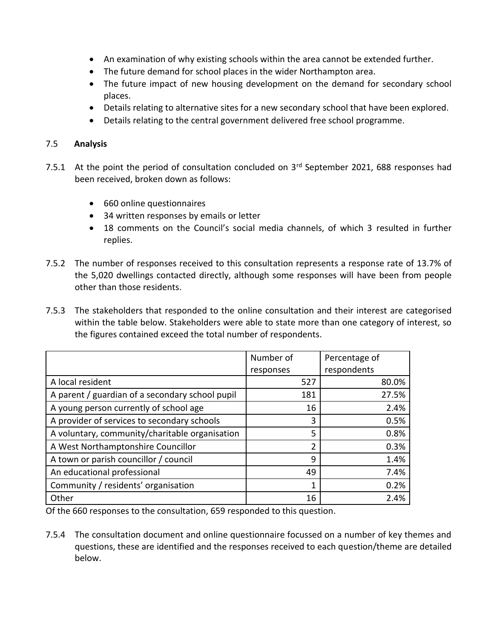- An examination of why existing schools within the area cannot be extended further.
- The future demand for school places in the wider Northampton area.
- The future impact of new housing development on the demand for secondary school places.
- Details relating to alternative sites for a new secondary school that have been explored.
- Details relating to the central government delivered free school programme.

#### 7.5 **Analysis**

- 7.5.1 At the point the period of consultation concluded on 3<sup>rd</sup> September 2021, 688 responses had been received, broken down as follows:
	- 660 online questionnaires
	- 34 written responses by emails or letter
	- 18 comments on the Council's social media channels, of which 3 resulted in further replies.
- 7.5.2 The number of responses received to this consultation represents a response rate of 13.7% of the 5,020 dwellings contacted directly, although some responses will have been from people other than those residents.
- 7.5.3 The stakeholders that responded to the online consultation and their interest are categorised within the table below. Stakeholders were able to state more than one category of interest, so the figures contained exceed the total number of respondents.

|                                                 | Number of      | Percentage of |
|-------------------------------------------------|----------------|---------------|
|                                                 | responses      | respondents   |
| A local resident                                | 527            | 80.0%         |
| A parent / guardian of a secondary school pupil | 181            | 27.5%         |
| A young person currently of school age          | 16             | 2.4%          |
| A provider of services to secondary schools     | 3              | 0.5%          |
| A voluntary, community/charitable organisation  | 5              | 0.8%          |
| A West Northamptonshire Councillor              | $\mathfrak{p}$ | 0.3%          |
| A town or parish councillor / council           | 9              | 1.4%          |
| An educational professional                     | 49             | 7.4%          |
| Community / residents' organisation             |                | 0.2%          |
| Other                                           | 16             | 2.4%          |

Of the 660 responses to the consultation, 659 responded to this question.

7.5.4 The consultation document and online questionnaire focussed on a number of key themes and questions, these are identified and the responses received to each question/theme are detailed below.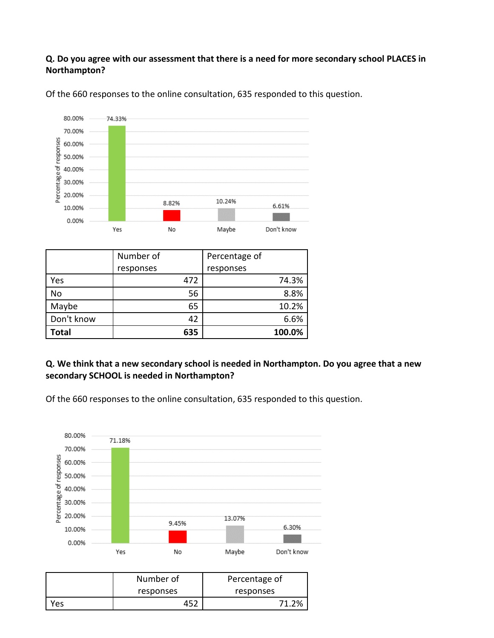# **Q. Do you agree with our assessment that there is a need for more secondary school PLACES in Northampton?**



Of the 660 responses to the online consultation, 635 responded to this question.

|              | Number of | Percentage of |
|--------------|-----------|---------------|
|              | responses | responses     |
| Yes          | 472       | 74.3%         |
| <b>No</b>    | 56        | 8.8%          |
| Maybe        | 65        | 10.2%         |
| Don't know   | 42        | 6.6%          |
| <b>Total</b> | 635       | 100.0%        |

## **Q. We think that a new secondary school is needed in Northampton. Do you agree that a new secondary SCHOOL is needed in Northampton?**

Of the 660 responses to the online consultation, 635 responded to this question.



|     | Number of | Percentage of |  |
|-----|-----------|---------------|--|
|     | responses | responses     |  |
| Yes | 452       | .2%           |  |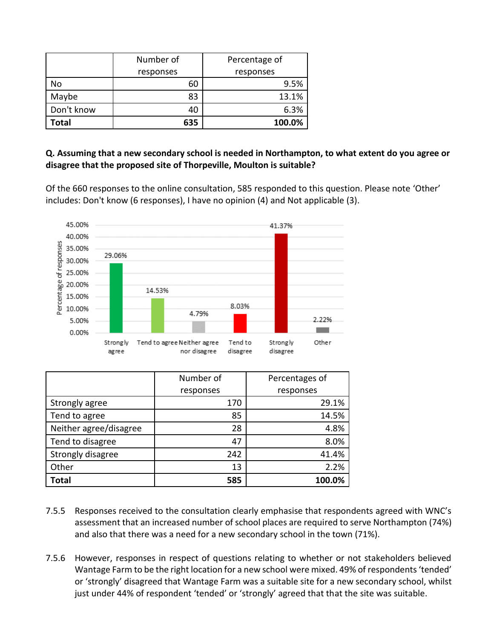|            | Number of | Percentage of |
|------------|-----------|---------------|
|            | responses | responses     |
| No         | 60        | 9.5%          |
| Maybe      | 83        | 13.1%         |
| Don't know | 40        | 6.3%          |
| Total      | 635       | 100.0%        |

## **Q. Assuming that a new secondary school is needed in Northampton, to what extent do you agree or disagree that the proposed site of Thorpeville, Moulton is suitable?**

Of the 660 responses to the online consultation, 585 responded to this question. Please note 'Other' includes: Don't know (6 responses), I have no opinion (4) and Not applicable (3).



|                        | Number of | Percentages of |
|------------------------|-----------|----------------|
|                        | responses | responses      |
| Strongly agree         | 170       | 29.1%          |
| Tend to agree          | 85        | 14.5%          |
| Neither agree/disagree | 28        | 4.8%           |
| Tend to disagree       | 47        | 8.0%           |
| Strongly disagree      | 242       | 41.4%          |
| Other                  | 13        | 2.2%           |
| Total                  | 585       | 100.0%         |

- 7.5.5 Responses received to the consultation clearly emphasise that respondents agreed with WNC's assessment that an increased number of school places are required to serve Northampton (74%) and also that there was a need for a new secondary school in the town (71%).
- 7.5.6 However, responses in respect of questions relating to whether or not stakeholders believed Wantage Farm to be the right location for a new school were mixed. 49% of respondents 'tended' or 'strongly' disagreed that Wantage Farm was a suitable site for a new secondary school, whilst just under 44% of respondent 'tended' or 'strongly' agreed that that the site was suitable.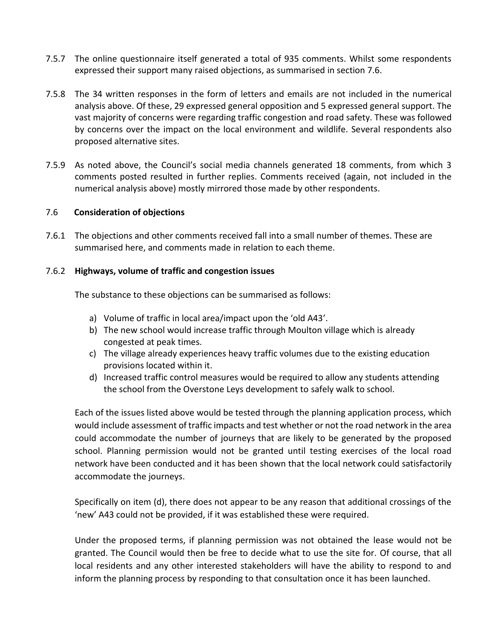- 7.5.7 The online questionnaire itself generated a total of 935 comments. Whilst some respondents expressed their support many raised objections, as summarised in section 7.6.
- 7.5.8 The 34 written responses in the form of letters and emails are not included in the numerical analysis above. Of these, 29 expressed general opposition and 5 expressed general support. The vast majority of concerns were regarding traffic congestion and road safety. These was followed by concerns over the impact on the local environment and wildlife. Several respondents also proposed alternative sites.
- 7.5.9 As noted above, the Council's social media channels generated 18 comments, from which 3 comments posted resulted in further replies. Comments received (again, not included in the numerical analysis above) mostly mirrored those made by other respondents.

#### 7.6 **Consideration of objections**

7.6.1 The objections and other comments received fall into a small number of themes. These are summarised here, and comments made in relation to each theme.

#### 7.6.2 **Highways, volume of traffic and congestion issues**

The substance to these objections can be summarised as follows:

- a) Volume of traffic in local area/impact upon the 'old A43'.
- b) The new school would increase traffic through Moulton village which is already congested at peak times.
- c) The village already experiences heavy traffic volumes due to the existing education provisions located within it.
- d) Increased traffic control measures would be required to allow any students attending the school from the Overstone Leys development to safely walk to school.

Each of the issues listed above would be tested through the planning application process, which would include assessment of traffic impacts and test whether or not the road network in the area could accommodate the number of journeys that are likely to be generated by the proposed school. Planning permission would not be granted until testing exercises of the local road network have been conducted and it has been shown that the local network could satisfactorily accommodate the journeys.

Specifically on item (d), there does not appear to be any reason that additional crossings of the 'new' A43 could not be provided, if it was established these were required.

Under the proposed terms, if planning permission was not obtained the lease would not be granted. The Council would then be free to decide what to use the site for. Of course, that all local residents and any other interested stakeholders will have the ability to respond to and inform the planning process by responding to that consultation once it has been launched.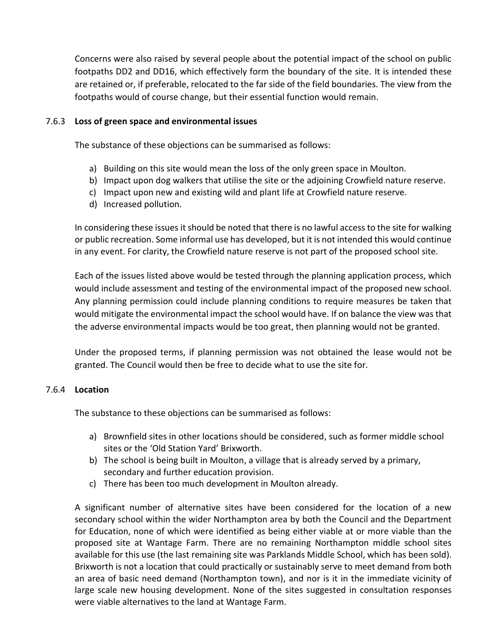Concerns were also raised by several people about the potential impact of the school on public footpaths DD2 and DD16, which effectively form the boundary of the site. It is intended these are retained or, if preferable, relocated to the far side of the field boundaries. The view from the footpaths would of course change, but their essential function would remain.

#### 7.6.3 **Loss of green space and environmental issues**

The substance of these objections can be summarised as follows:

- a) Building on this site would mean the loss of the only green space in Moulton.
- b) Impact upon dog walkers that utilise the site or the adjoining Crowfield nature reserve.
- c) Impact upon new and existing wild and plant life at Crowfield nature reserve.
- d) Increased pollution.

In considering these issues it should be noted that there is no lawful access to the site for walking or public recreation. Some informal use has developed, but it is not intended this would continue in any event. For clarity, the Crowfield nature reserve is not part of the proposed school site.

Each of the issues listed above would be tested through the planning application process, which would include assessment and testing of the environmental impact of the proposed new school. Any planning permission could include planning conditions to require measures be taken that would mitigate the environmental impact the school would have. If on balance the view was that the adverse environmental impacts would be too great, then planning would not be granted.

Under the proposed terms, if planning permission was not obtained the lease would not be granted. The Council would then be free to decide what to use the site for.

#### 7.6.4 **Location**

The substance to these objections can be summarised as follows:

- a) Brownfield sites in other locations should be considered, such as former middle school sites or the 'Old Station Yard' Brixworth.
- b) The school is being built in Moulton, a village that is already served by a primary, secondary and further education provision.
- c) There has been too much development in Moulton already.

A significant number of alternative sites have been considered for the location of a new secondary school within the wider Northampton area by both the Council and the Department for Education, none of which were identified as being either viable at or more viable than the proposed site at Wantage Farm. There are no remaining Northampton middle school sites available for this use (the last remaining site was Parklands Middle School, which has been sold). Brixworth is not a location that could practically or sustainably serve to meet demand from both an area of basic need demand (Northampton town), and nor is it in the immediate vicinity of large scale new housing development. None of the sites suggested in consultation responses were viable alternatives to the land at Wantage Farm.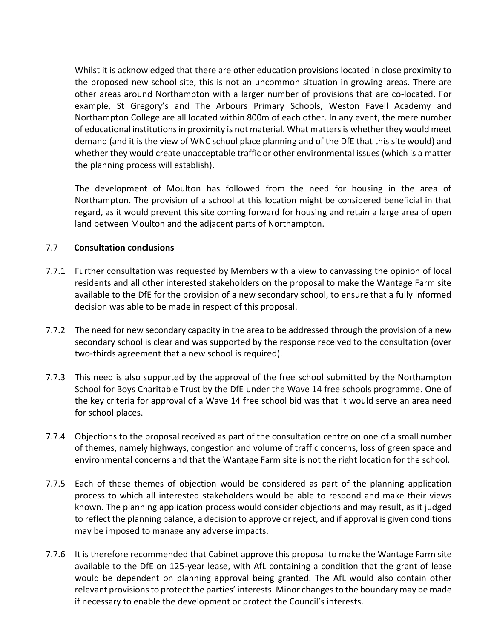Whilst it is acknowledged that there are other education provisions located in close proximity to the proposed new school site, this is not an uncommon situation in growing areas. There are other areas around Northampton with a larger number of provisions that are co-located. For example, St Gregory's and The Arbours Primary Schools, Weston Favell Academy and Northampton College are all located within 800m of each other. In any event, the mere number of educational institutions in proximity is not material. What matters is whether they would meet demand (and it is the view of WNC school place planning and of the DfE that this site would) and whether they would create unacceptable traffic or other environmental issues (which is a matter the planning process will establish).

The development of Moulton has followed from the need for housing in the area of Northampton. The provision of a school at this location might be considered beneficial in that regard, as it would prevent this site coming forward for housing and retain a large area of open land between Moulton and the adjacent parts of Northampton.

#### 7.7 **Consultation conclusions**

- 7.7.1 Further consultation was requested by Members with a view to canvassing the opinion of local residents and all other interested stakeholders on the proposal to make the Wantage Farm site available to the DfE for the provision of a new secondary school, to ensure that a fully informed decision was able to be made in respect of this proposal.
- 7.7.2 The need for new secondary capacity in the area to be addressed through the provision of a new secondary school is clear and was supported by the response received to the consultation (over two-thirds agreement that a new school is required).
- 7.7.3 This need is also supported by the approval of the free school submitted by the Northampton School for Boys Charitable Trust by the DfE under the Wave 14 free schools programme. One of the key criteria for approval of a Wave 14 free school bid was that it would serve an area need for school places.
- 7.7.4 Objections to the proposal received as part of the consultation centre on one of a small number of themes, namely highways, congestion and volume of traffic concerns, loss of green space and environmental concerns and that the Wantage Farm site is not the right location for the school.
- 7.7.5 Each of these themes of objection would be considered as part of the planning application process to which all interested stakeholders would be able to respond and make their views known. The planning application process would consider objections and may result, as it judged to reflect the planning balance, a decision to approve or reject, and if approval is given conditions may be imposed to manage any adverse impacts.
- 7.7.6 It is therefore recommended that Cabinet approve this proposal to make the Wantage Farm site available to the DfE on 125-year lease, with AfL containing a condition that the grant of lease would be dependent on planning approval being granted. The AfL would also contain other relevant provisions to protect the parties' interests. Minor changes to the boundary may be made if necessary to enable the development or protect the Council's interests.